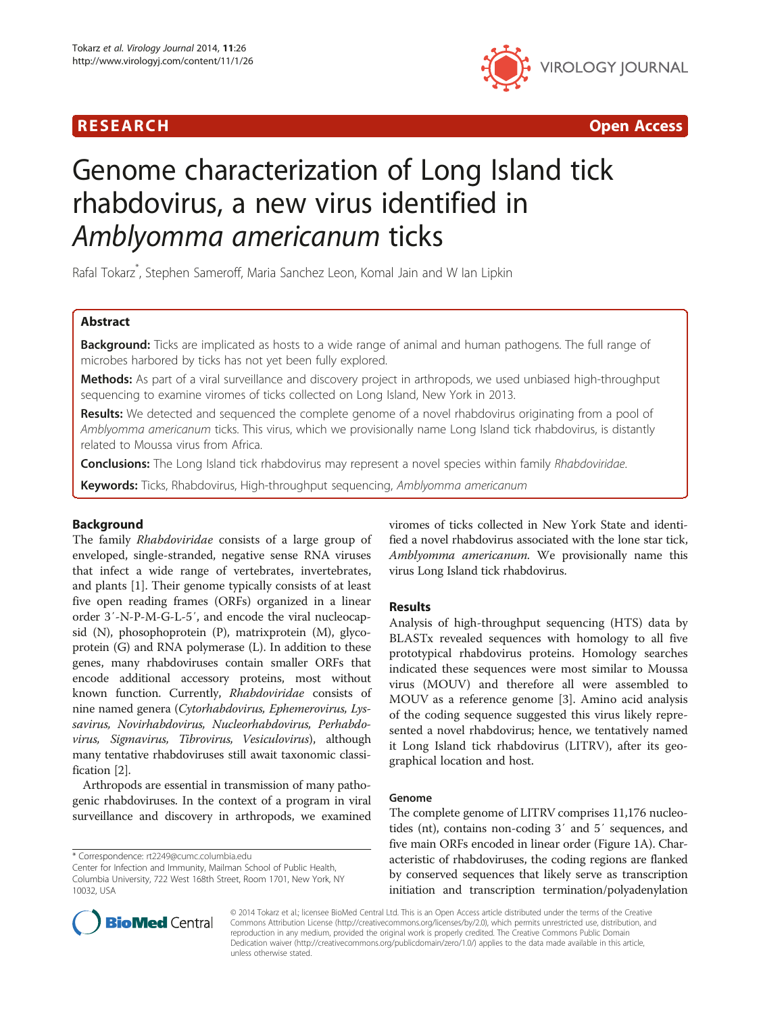

R E S EAR CH Open Access

# Genome characterization of Long Island tick rhabdovirus, a new virus identified in Amblyomma americanum ticks

Rafal Tokarz\* , Stephen Sameroff, Maria Sanchez Leon, Komal Jain and W Ian Lipkin

# Abstract

Background: Ticks are implicated as hosts to a wide range of animal and human pathogens. The full range of microbes harbored by ticks has not yet been fully explored.

Methods: As part of a viral surveillance and discovery project in arthropods, we used unbiased high-throughput sequencing to examine viromes of ticks collected on Long Island, New York in 2013.

Results: We detected and sequenced the complete genome of a novel rhabdovirus originating from a pool of Amblyomma americanum ticks. This virus, which we provisionally name Long Island tick rhabdovirus, is distantly related to Moussa virus from Africa.

**Conclusions:** The Long Island tick rhabdovirus may represent a novel species within family Rhabdoviridae.

Keywords: Ticks, Rhabdovirus, High-throughput sequencing, Amblyomma americanum

# Background

The family Rhabdoviridae consists of a large group of enveloped, single-stranded, negative sense RNA viruses that infect a wide range of vertebrates, invertebrates, and plants [\[1](#page-4-0)]. Their genome typically consists of at least five open reading frames (ORFs) organized in a linear order 3′-N-P-M-G-L-5′, and encode the viral nucleocapsid (N), phosophoprotein (P), matrixprotein (M), glycoprotein (G) and RNA polymerase (L). In addition to these genes, many rhabdoviruses contain smaller ORFs that encode additional accessory proteins, most without known function. Currently, Rhabdoviridae consists of nine named genera (Cytorhabdovirus, Ephemerovirus, Lyssavirus, Novirhabdovirus, Nucleorhabdovirus, Perhabdovirus, Sigmavirus, Tibrovirus, Vesiculovirus), although many tentative rhabdoviruses still await taxonomic classification [\[2](#page-4-0)].

Arthropods are essential in transmission of many pathogenic rhabdoviruses. In the context of a program in viral surveillance and discovery in arthropods, we examined

\* Correspondence: [rt2249@cumc.columbia.edu](mailto:rt2249@cumc.columbia.edu)

Center for Infection and Immunity, Mailman School of Public Health, Columbia University, 722 West 168th Street, Room 1701, New York, NY 10032, USA

viromes of ticks collected in New York State and identified a novel rhabdovirus associated with the lone star tick, Amblyomma americanum. We provisionally name this virus Long Island tick rhabdovirus.

# Results

Analysis of high-throughput sequencing (HTS) data by BLASTx revealed sequences with homology to all five prototypical rhabdovirus proteins. Homology searches indicated these sequences were most similar to Moussa virus (MOUV) and therefore all were assembled to MOUV as a reference genome [\[3](#page-4-0)]. Amino acid analysis of the coding sequence suggested this virus likely represented a novel rhabdovirus; hence, we tentatively named it Long Island tick rhabdovirus (LITRV), after its geographical location and host.

#### Genome

The complete genome of LITRV comprises 11,176 nucleotides (nt), contains non-coding 3′ and 5′ sequences, and five main ORFs encoded in linear order (Figure [1A](#page-1-0)). Characteristic of rhabdoviruses, the coding regions are flanked by conserved sequences that likely serve as transcription initiation and transcription termination/polyadenylation



© 2014 Tokarz et al.; licensee BioMed Central Ltd. This is an Open Access article distributed under the terms of the Creative Commons Attribution License [\(http://creativecommons.org/licenses/by/2.0\)](http://creativecommons.org/licenses/by/2.0), which permits unrestricted use, distribution, and reproduction in any medium, provided the original work is properly credited. The Creative Commons Public Domain Dedication waiver [\(http://creativecommons.org/publicdomain/zero/1.0/](http://creativecommons.org/publicdomain/zero/1.0/)) applies to the data made available in this article, unless otherwise stated.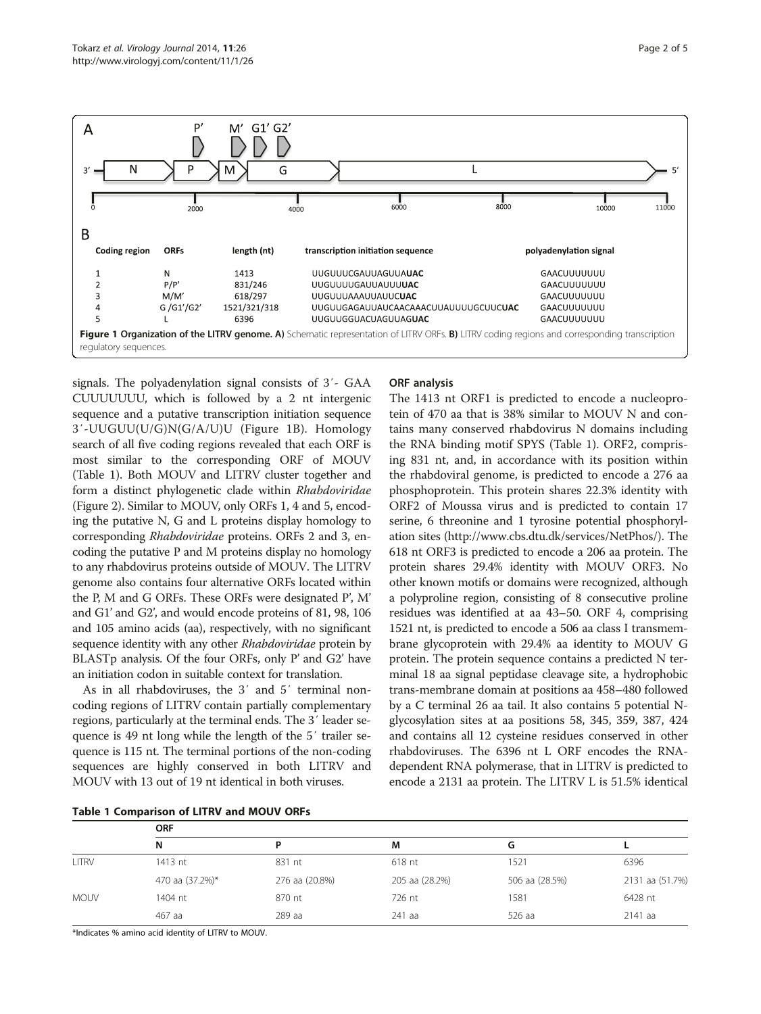<span id="page-1-0"></span>

signals. The polyadenylation signal consists of 3′- GAA CUUUUUUU, which is followed by a 2 nt intergenic sequence and a putative transcription initiation sequence 3′-UUGUU(U/G)N(G/A/U)U (Figure 1B). Homology search of all five coding regions revealed that each ORF is most similar to the corresponding ORF of MOUV (Table 1). Both MOUV and LITRV cluster together and form a distinct phylogenetic clade within Rhabdoviridae (Figure [2](#page-2-0)). Similar to MOUV, only ORFs 1, 4 and 5, encoding the putative N, G and L proteins display homology to corresponding Rhabdoviridae proteins. ORFs 2 and 3, encoding the putative P and M proteins display no homology to any rhabdovirus proteins outside of MOUV. The LITRV genome also contains four alternative ORFs located within the P, M and G ORFs. These ORFs were designated P', M' and G1' and G2', and would encode proteins of 81, 98, 106 and 105 amino acids (aa), respectively, with no significant sequence identity with any other *Rhabdoviridae* protein by BLASTp analysis. Of the four ORFs, only P' and G2' have an initiation codon in suitable context for translation.

As in all rhabdoviruses, the 3′ and 5′ terminal noncoding regions of LITRV contain partially complementary regions, particularly at the terminal ends. The 3′ leader sequence is 49 nt long while the length of the 5′ trailer sequence is 115 nt. The terminal portions of the non-coding sequences are highly conserved in both LITRV and MOUV with 13 out of 19 nt identical in both viruses.

#### ORF analysis

The 1413 nt ORF1 is predicted to encode a nucleoprotein of 470 aa that is 38% similar to MOUV N and contains many conserved rhabdovirus N domains including the RNA binding motif SPYS (Table 1). ORF2, comprising 831 nt, and, in accordance with its position within the rhabdoviral genome, is predicted to encode a 276 aa phosphoprotein. This protein shares 22.3% identity with ORF2 of Moussa virus and is predicted to contain 17 serine, 6 threonine and 1 tyrosine potential phosphorylation sites ([http://www.cbs.dtu.dk/services/NetPhos/\)](http://www.cbs.dtu.dk/services/NetPhos/). The 618 nt ORF3 is predicted to encode a 206 aa protein. The protein shares 29.4% identity with MOUV ORF3. No other known motifs or domains were recognized, although a polyproline region, consisting of 8 consecutive proline residues was identified at aa 43–50. ORF 4, comprising 1521 nt, is predicted to encode a 506 aa class I transmembrane glycoprotein with 29.4% aa identity to MOUV G protein. The protein sequence contains a predicted N terminal 18 aa signal peptidase cleavage site, a hydrophobic trans-membrane domain at positions aa 458–480 followed by a C terminal 26 aa tail. It also contains 5 potential Nglycosylation sites at aa positions 58, 345, 359, 387, 424 and contains all 12 cysteine residues conserved in other rhabdoviruses. The 6396 nt L ORF encodes the RNAdependent RNA polymerase, that in LITRV is predicted to encode a 2131 aa protein. The LITRV L is 51.5% identical

|  | <b>Table 1 Comparison of LITRV and MOUV ORFs</b> |  |  |  |  |  |
|--|--------------------------------------------------|--|--|--|--|--|
|--|--------------------------------------------------|--|--|--|--|--|

|             | <b>ORF</b>      |                |                |                |                 |  |  |  |
|-------------|-----------------|----------------|----------------|----------------|-----------------|--|--|--|
|             | N               | D              | M              | G              |                 |  |  |  |
| LITRV       | 1413 nt         | 831 nt         | 618 nt         | 1521           | 6396            |  |  |  |
|             | 470 aa (37.2%)* | 276 aa (20.8%) | 205 aa (28.2%) | 506 aa (28.5%) | 2131 aa (51.7%) |  |  |  |
| <b>MOUV</b> | 1404 nt         | 870 nt         | 726 nt         | 1581           | 6428 nt         |  |  |  |
|             | 467 aa          | 289 aa         | 241 aa         | 526 aa         | 2141 aa         |  |  |  |

\*Indicates % amino acid identity of LITRV to MOUV.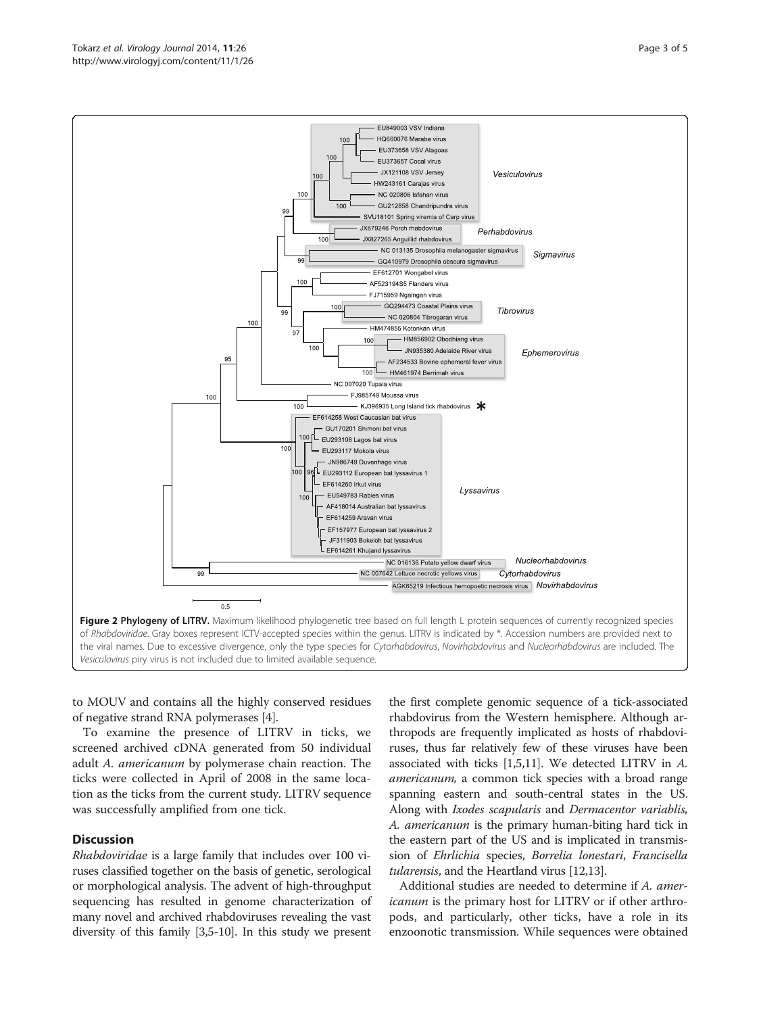to MOUV and contains all the highly conserved residues of negative strand RNA polymerases [\[4\]](#page-4-0).

To examine the presence of LITRV in ticks, we screened archived cDNA generated from 50 individual adult A. americanum by polymerase chain reaction. The ticks were collected in April of 2008 in the same location as the ticks from the current study. LITRV sequence was successfully amplified from one tick.

#### **Discussion**

Rhabdoviridae is a large family that includes over 100 viruses classified together on the basis of genetic, serological or morphological analysis. The advent of high-throughput sequencing has resulted in genome characterization of many novel and archived rhabdoviruses revealing the vast diversity of this family [[3,5-10\]](#page-4-0). In this study we present

the first complete genomic sequence of a tick-associated rhabdovirus from the Western hemisphere. Although arthropods are frequently implicated as hosts of rhabdoviruses, thus far relatively few of these viruses have been associated with ticks [\[1,5,11](#page-4-0)]. We detected LITRV in A. americanum, a common tick species with a broad range spanning eastern and south-central states in the US. Along with Ixodes scapularis and Dermacentor variablis, A. americanum is the primary human-biting hard tick in the eastern part of the US and is implicated in transmission of Ehrlichia species, Borrelia lonestari, Francisella tularensis, and the Heartland virus [\[12,13\]](#page-4-0).

Additional studies are needed to determine if A. americanum is the primary host for LITRV or if other arthropods, and particularly, other ticks, have a role in its enzoonotic transmission. While sequences were obtained

<span id="page-2-0"></span>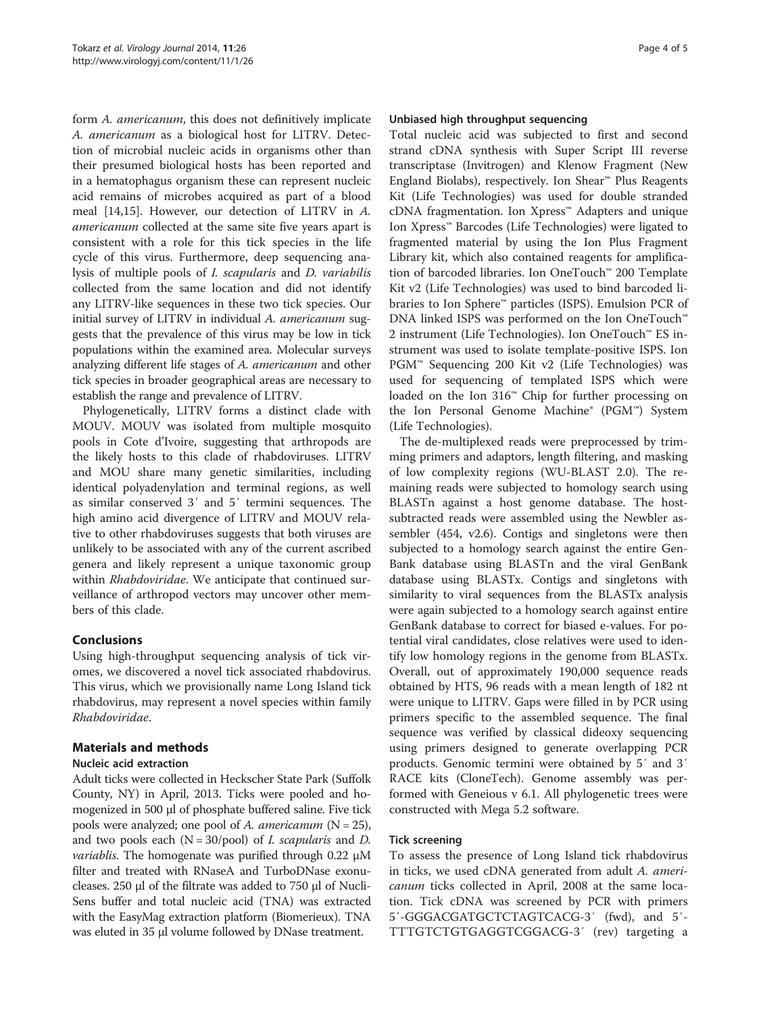form A. americanum, this does not definitively implicate A. americanum as a biological host for LITRV. Detection of microbial nucleic acids in organisms other than their presumed biological hosts has been reported and in a hematophagus organism these can represent nucleic acid remains of microbes acquired as part of a blood meal [[14](#page-4-0),[15](#page-4-0)]. However, our detection of LITRV in A. americanum collected at the same site five years apart is consistent with a role for this tick species in the life cycle of this virus. Furthermore, deep sequencing analysis of multiple pools of I. scapularis and D. variabilis collected from the same location and did not identify any LITRV-like sequences in these two tick species. Our initial survey of LITRV in individual A. americanum suggests that the prevalence of this virus may be low in tick populations within the examined area. Molecular surveys analyzing different life stages of A. americanum and other tick species in broader geographical areas are necessary to establish the range and prevalence of LITRV.

Phylogenetically, LITRV forms a distinct clade with MOUV. MOUV was isolated from multiple mosquito pools in Cote d'Ivoire, suggesting that arthropods are the likely hosts to this clade of rhabdoviruses. LITRV and MOU share many genetic similarities, including identical polyadenylation and terminal regions, as well as similar conserved 3′ and 5′ termini sequences. The high amino acid divergence of LITRV and MOUV relative to other rhabdoviruses suggests that both viruses are unlikely to be associated with any of the current ascribed genera and likely represent a unique taxonomic group within Rhabdoviridae. We anticipate that continued surveillance of arthropod vectors may uncover other members of this clade.

# Conclusions

Using high-throughput sequencing analysis of tick viromes, we discovered a novel tick associated rhabdovirus. This virus, which we provisionally name Long Island tick rhabdovirus, may represent a novel species within family Rhabdoviridae.

# Materials and methods

# Nucleic acid extraction

Adult ticks were collected in Heckscher State Park (Suffolk County, NY) in April, 2013. Ticks were pooled and homogenized in 500 μl of phosphate buffered saline. Five tick pools were analyzed; one pool of A. americanum  $(N = 25)$ , and two pools each  $(N = 30/pool)$  of *I. scapularis* and *D. variablis*. The homogenate was purified through  $0.22 \mu M$ filter and treated with RNaseA and TurboDNase exonucleases. 250 μl of the filtrate was added to 750 μl of Nucli-Sens buffer and total nucleic acid (TNA) was extracted with the EasyMag extraction platform (Biomerieux). TNA was eluted in 35 μl volume followed by DNase treatment.

# Unbiased high throughput sequencing

Total nucleic acid was subjected to first and second strand cDNA synthesis with Super Script III reverse transcriptase (Invitrogen) and Klenow Fragment (New England Biolabs), respectively. Ion Shear™ Plus Reagents Kit (Life Technologies) was used for double stranded cDNA fragmentation. Ion Xpress™ Adapters and unique Ion Xpress™ Barcodes (Life Technologies) were ligated to fragmented material by using the Ion Plus Fragment Library kit, which also contained reagents for amplification of barcoded libraries. Ion OneTouch™ 200 Template Kit v2 (Life Technologies) was used to bind barcoded libraries to Ion Sphere™ particles (ISPS). Emulsion PCR of DNA linked ISPS was performed on the Ion OneTouch™ 2 instrument (Life Technologies). Ion OneTouch™ ES instrument was used to isolate template-positive ISPS. Ion PGM™ Sequencing 200 Kit v2 (Life Technologies) was used for sequencing of templated ISPS which were loaded on the Ion 316™ Chip for further processing on the Ion Personal Genome Machine® (PGM™) System (Life Technologies).

The de-multiplexed reads were preprocessed by trimming primers and adaptors, length filtering, and masking of low complexity regions (WU-BLAST 2.0). The remaining reads were subjected to homology search using BLASTn against a host genome database. The hostsubtracted reads were assembled using the Newbler assembler (454, v2.6). Contigs and singletons were then subjected to a homology search against the entire Gen-Bank database using BLASTn and the viral GenBank database using BLASTx. Contigs and singletons with similarity to viral sequences from the BLASTx analysis were again subjected to a homology search against entire GenBank database to correct for biased e-values. For potential viral candidates, close relatives were used to identify low homology regions in the genome from BLASTx. Overall, out of approximately 190,000 sequence reads obtained by HTS, 96 reads with a mean length of 182 nt were unique to LITRV. Gaps were filled in by PCR using primers specific to the assembled sequence. The final sequence was verified by classical dideoxy sequencing using primers designed to generate overlapping PCR products. Genomic termini were obtained by 5′ and 3′ RACE kits (CloneTech). Genome assembly was performed with Geneious v 6.1. All phylogenetic trees were constructed with Mega 5.2 software.

# Tick screening

To assess the presence of Long Island tick rhabdovirus in ticks, we used cDNA generated from adult A. americanum ticks collected in April, 2008 at the same location. Tick cDNA was screened by PCR with primers 5′-GGGACGATGCTCTAGTCACG-3′ (fwd), and 5′- TTTGTCTGTGAGGTCGGACG-3′ (rev) targeting a